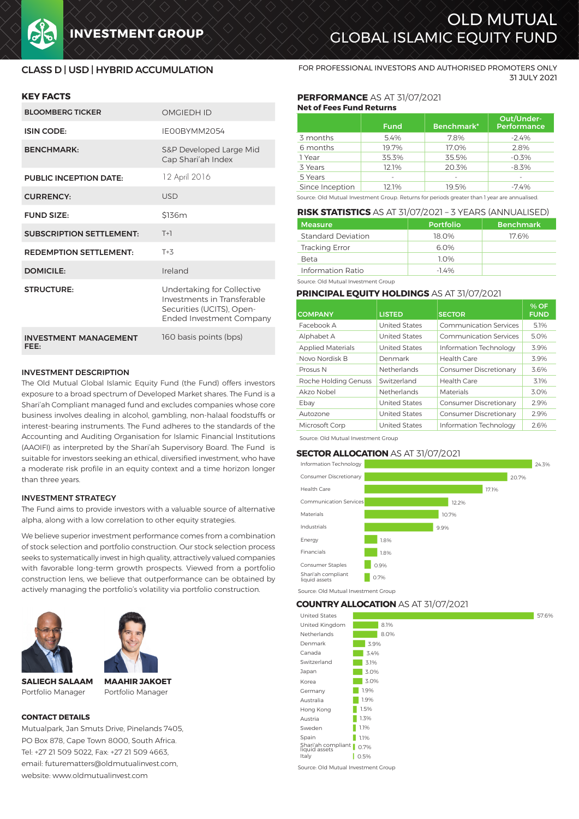# OLD MUTUAL **INVESTMENT GROUP SERVICES OF GLOBAL ISLAMIC EQUITY FUND**

## CLASS D | USD | HYBRID ACCUMULATION

## **KEY FACTS**

| <b>BLOOMBERG TICKER</b>              | <b>OMGIEDH ID</b>                                                                                                         |
|--------------------------------------|---------------------------------------------------------------------------------------------------------------------------|
| <b>ISIN CODE:</b>                    | IFOORYMM2054                                                                                                              |
| <b>BENCHMARK:</b>                    | S&P Developed Large Mid<br>Cap Shari'ah Index                                                                             |
| <b>PUBLIC INCEPTION DATE:</b>        | 12 April 2016                                                                                                             |
| <b>CURRENCY:</b>                     | USD                                                                                                                       |
| <b>FUND SIZE:</b>                    | \$136m                                                                                                                    |
| <b>SUBSCRIPTION SETTLEMENT:</b>      | $T+1$                                                                                                                     |
| <b>REDEMPTION SETTLEMENT:</b>        | $T+3$                                                                                                                     |
| <b>DOMICILE:</b>                     | Ireland                                                                                                                   |
| <b>STRUCTURE:</b>                    | Undertaking for Collective<br>Investments in Transferable<br>Securities (UCITS), Open-<br><b>Ended Investment Company</b> |
| <b>INVESTMENT MANAGEMENT</b><br>FEE: | 160 basis points (bps)                                                                                                    |

#### INVESTMENT DESCRIPTION

The Old Mutual Global Islamic Equity Fund (the Fund) offers investors exposure to a broad spectrum of Developed Market shares. The Fund is a Shari'ah Compliant managed fund and excludes companies whose core business involves dealing in alcohol, gambling, non-halaal foodstuffs or interest-bearing instruments. The Fund adheres to the standards of the Accounting and Auditing Organisation for Islamic Financial Institutions (AAOIFI) as interpreted by the Shari'ah Supervisory Board. The Fund is suitable for investors seeking an ethical, diversified investment, who have a moderate risk profile in an equity context and a time horizon longer than three years.

#### INVESTMENT STRATEGY

The Fund aims to provide investors with a valuable source of alternative alpha, along with a low correlation to other equity strategies.

We believe superior investment performance comes from a combination of stock selection and portfolio construction. Our stock selection process seeks to systematically invest in high quality, attractively valued companies with favorable long-term growth prospects. Viewed from a portfolio construction lens, we believe that outperformance can be obtained by actively managing the portfolio's volatility via portfolio construction.





**SALIEGH SALAAM** Portfolio Manager

**MAAHIR JAKOET** Portfolio Manager

#### **CONTACT DETAILS**

Mutualpark, Jan Smuts Drive, Pinelands 7405, PO Box 878, Cape Town 8000, South Africa. Tel: +27 21 509 5022, Fax: +27 21 509 4663, email: futurematters@oldmutualinvest.com, website: www.oldmutualinvest.com

FOR PROFESSIONAL INVESTORS AND AUTHORISED PROMOTERS ONLY 31 JULY 2021

#### **PERFORMANCE** AS AT 31/07/2021 **Net of Fees Fund Returns**

|                 | <b>Fund</b> | Benchmark* | Out/Under-<br><b>Performance</b> |  |
|-----------------|-------------|------------|----------------------------------|--|
| 3 months        | 5.4%        | 7.8%       | $-2.4%$                          |  |
| 6 months        | 19.7%       | 17.0%      | 2.8%                             |  |
| 1 Year          | 35.3%       | 35.5%      | $-0.3%$                          |  |
| 3 Years         | 12.1%       | 20.3%      | $-8.3%$                          |  |
| 5 Years         |             |            |                                  |  |
| Since Inception | 12.1%       | 19.5%      | $-7.4%$                          |  |

Source: Old Mutual Investment Group. Returns for periods greater than 1 year are annualised.

#### **RISK STATISTICS** AS AT 31/07/2021 – 3 YEARS (ANNUALISED)

| <b>Measure</b>        | <b>Portfolio</b> | <b>Benchmark</b> |  |  |
|-----------------------|------------------|------------------|--|--|
| Standard Deviation    | 18.0%            | 17.6%            |  |  |
| <b>Tracking Error</b> | 6.0%             |                  |  |  |
| Beta                  | 1 በ%             |                  |  |  |
| Information Ratio     | $-14%$           |                  |  |  |

Source: Old Mutual Investment Group

#### **PRINCIPAL EQUITY HOLDINGS** AS AT 31/07/2021

| <b>COMPANY</b>           | <b>LISTED</b>        | <b>SECTOR</b>                 | % OF<br><b>FUND</b> |
|--------------------------|----------------------|-------------------------------|---------------------|
| Facebook A               | <b>United States</b> | <b>Communication Services</b> | 5.1%                |
| Alphabet A               | <b>United States</b> | Communication Services        | 5.0%                |
| <b>Applied Materials</b> | <b>United States</b> | Information Technology        | 3.9%                |
| Novo Nordisk B           | Denmark              | Health Care                   | 3.9%                |
| Prosus N                 | Netherlands          | <b>Consumer Discretionary</b> | 3.6%                |
| Roche Holding Genuss     | Switzerland          | Health Care                   | 3.1%                |
| Akzo Nobel               | <b>Netherlands</b>   | Materials                     | 3.0%                |
| Ebay                     | <b>United States</b> | <b>Consumer Discretionary</b> | 2.9%                |
| Autozone                 | <b>United States</b> | <b>Consumer Discretionary</b> | 2.9%                |
| Microsoft Corp           | <b>United States</b> | Information Technology        | 2.6%                |

Source: Old Mutual Investment Group

#### **SECTOR ALLOCATION** AS AT 31/07/2021



**COUNTRY ALLOCATION** AS AT 31/07/2021

|      | 57.6%                                                                             |
|------|-----------------------------------------------------------------------------------|
| 8.1% |                                                                                   |
| 8.0% |                                                                                   |
| 3.9% |                                                                                   |
| 3.4% |                                                                                   |
| 3.1% |                                                                                   |
| 3.0% |                                                                                   |
| 3.0% |                                                                                   |
| 1.9% |                                                                                   |
| 1.9% |                                                                                   |
| 1.5% |                                                                                   |
| 1.3% |                                                                                   |
| 1.1% |                                                                                   |
| 1.1% |                                                                                   |
| 0.7% |                                                                                   |
| 0.5% |                                                                                   |
|      | PODITIN'I ALLOCATION AS ALSI(SI/CI/ZUZI<br>Shari'ah compliant   <br>liquid assets |

Source: Old Mutual Investment Group